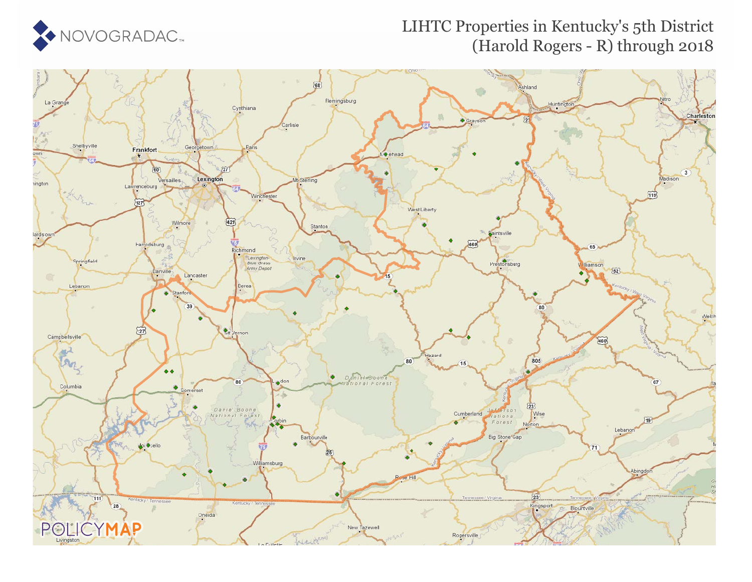

## LIHTC Properties in Kentucky's 5th District (Harold Rogers - R) through 2018

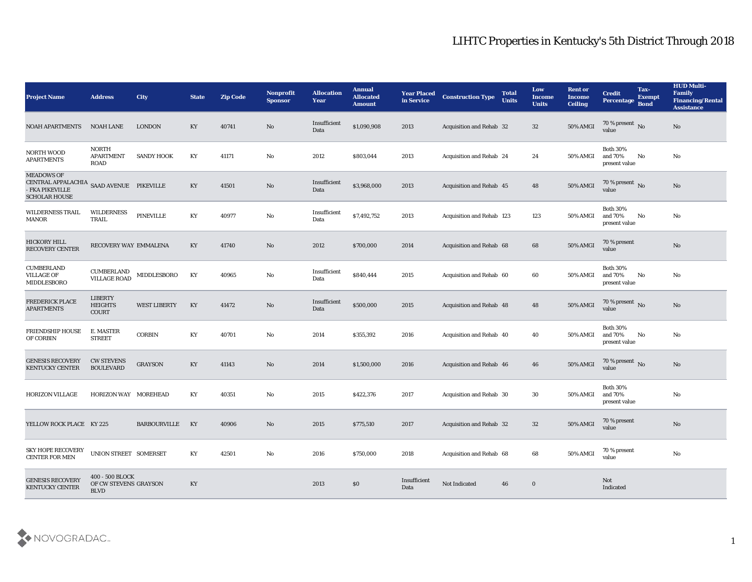| <b>Project Name</b>                                                                                      | <b>Address</b>                                          | City                | <b>State</b>           | <b>Zip Code</b> | Nonprofit<br><b>Sponsor</b> | <b>Allocation</b><br><b>Year</b> | <b>Annual</b><br><b>Allocated</b><br><b>Amount</b> | <b>Year Placed</b><br>in Service | <b>Construction Type</b>  | <b>Total</b><br><b>Units</b> | Low<br><b>Income</b><br><b>Units</b> | <b>Rent or</b><br><b>Income</b><br><b>Ceiling</b> | <b>Credit</b><br>Percentage                 | Tax-<br><b>Exempt</b><br><b>Bond</b> | <b>HUD Multi-</b><br>Family<br><b>Financing/Rental</b><br><b>Assistance</b> |
|----------------------------------------------------------------------------------------------------------|---------------------------------------------------------|---------------------|------------------------|-----------------|-----------------------------|----------------------------------|----------------------------------------------------|----------------------------------|---------------------------|------------------------------|--------------------------------------|---------------------------------------------------|---------------------------------------------|--------------------------------------|-----------------------------------------------------------------------------|
| <b>NOAH APARTMENTS</b>                                                                                   | <b>NOAH LANE</b>                                        | <b>LONDON</b>       | KY                     | 40741           | No                          | Insufficient<br>Data             | \$1,090,908                                        | 2013                             | Acquisition and Rehab 32  |                              | 32                                   | <b>50% AMGI</b>                                   | 70 % present No<br>value                    |                                      | No                                                                          |
| <b>NORTH WOOD</b><br><b>APARTMENTS</b>                                                                   | <b>NORTH</b><br><b>APARTMENT</b><br>ROAD                | <b>SANDY HOOK</b>   | KY                     | 41171           | No                          | 2012                             | \$803,044                                          | 2013                             | Acquisition and Rehab 24  |                              | 24                                   | 50% AMGI                                          | <b>Both 30%</b><br>and 70%<br>present value | No                                   | No                                                                          |
| <b>MEADOWS OF</b><br>CENTRAL APPALACHIA SAAD AVENUE PIKEVILLE<br>- FKA PIKEVILLE<br><b>SCHOLAR HOUSE</b> |                                                         |                     | KY                     | 41501           | No                          | Insufficient<br>Data             | \$3,968,000                                        | 2013                             | Acquisition and Rehab 45  |                              | 48                                   | 50% AMGI                                          | 70 % present No<br>value                    |                                      | No                                                                          |
| <b>WILDERNESS TRAIL</b><br>MANOR                                                                         | <b>WILDERNESS</b><br>TRAIL                              | PINEVILLE           | KY                     | 40977           | No                          | Insufficient<br>Data             | \$7,492,752                                        | 2013                             | Acquisition and Rehab 123 |                              | 123                                  | 50% AMGI                                          | <b>Both 30%</b><br>and 70%<br>present value | No                                   | No                                                                          |
| HICKORY HILL<br><b>RECOVERY CENTER</b>                                                                   | RECOVERY WAY EMMALENA                                   |                     | KY                     | 41740           | No                          | 2012                             | \$700,000                                          | 2014                             | Acquisition and Rehab 68  |                              | 68                                   | 50% AMGI                                          | 70 % present<br>value                       |                                      | $\mathbf{N}\mathbf{o}$                                                      |
| <b>CUMBERLAND</b><br><b>VILLAGE OF</b><br>MIDDLESBORO                                                    | CUMBERLAND<br><b>VILLAGE ROAD</b>                       | MIDDLESBORO         | KY                     | 40965           | No                          | Insufficient<br>Data             | \$840,444                                          | 2015                             | Acquisition and Rehab 60  |                              | 60                                   | 50% AMGI                                          | <b>Both 30%</b><br>and 70%<br>present value | No                                   | No                                                                          |
| <b>FREDERICK PLACE</b><br><b>APARTMENTS</b>                                                              | LIBERTY<br><b>HEIGHTS</b><br><b>COURT</b>               | <b>WEST LIBERTY</b> | KY                     | 41472           | No                          | Insufficient<br>Data             | \$500,000                                          | 2015                             | Acquisition and Rehab 48  |                              | 48                                   | <b>50% AMGI</b>                                   | $\frac{70\%}{\text{value}}$ No              |                                      | No                                                                          |
| <b>FRIENDSHIP HOUSE</b><br>OF CORBIN                                                                     | E. MASTER<br><b>STREET</b>                              | <b>CORBIN</b>       | KY                     | 40701           | No                          | 2014                             | \$355,392                                          | 2016                             | Acquisition and Rehab 40  |                              | 40                                   | 50% AMGI                                          | <b>Both 30%</b><br>and 70%<br>present value | No                                   | No                                                                          |
| <b>GENESIS RECOVERY</b><br><b>KENTUCKY CENTER</b>                                                        | <b>CW STEVENS</b><br><b>BOULEVARD</b>                   | <b>GRAYSON</b>      | KY                     | 41143           | No                          | 2014                             | \$1,500,000                                        | 2016                             | Acquisition and Rehab 46  |                              | 46                                   | <b>50% AMGI</b>                                   | 70 % present $\hbox{~No}$<br>value          |                                      | No                                                                          |
| <b>HORIZON VILLAGE</b>                                                                                   | HORIZON WAY MOREHEAD                                    |                     | KY                     | 40351           | No                          | 2015                             | \$422,376                                          | 2017                             | Acquisition and Rehab 30  |                              | 30                                   | <b>50% AMGI</b>                                   | <b>Both 30%</b><br>and 70%<br>present value |                                      | No                                                                          |
| YELLOW ROCK PLACE KY 225                                                                                 |                                                         | <b>BARBOURVILLE</b> | KY                     | 40906           | No                          | 2015                             | \$775,510                                          | 2017                             | Acquisition and Rehab 32  |                              | 32                                   | 50% AMGI                                          | 70 % present<br>value                       |                                      | $\mathbf{N}\mathbf{o}$                                                      |
| <b>SKY HOPE RECOVERY</b><br><b>CENTER FOR MEN</b>                                                        | UNION STREET SOMERSET                                   |                     | $\mathbf{K}\mathbf{Y}$ | 42501           | No                          | 2016                             | \$750,000                                          | 2018                             | Acquisition and Rehab 68  |                              | 68                                   | 50% AMGI                                          | 70 % present<br>value                       |                                      | $\mathbf{N}\mathbf{o}$                                                      |
| <b>GENESIS RECOVERY</b><br><b>KENTUCKY CENTER</b>                                                        | 400 - 500 BLOCK<br>OF CW STEVENS GRAYSON<br><b>BLVD</b> |                     | KY                     |                 |                             | 2013                             | $\$0$                                              | Insufficient<br>Data             | Not Indicated             | 46                           | $\bf{0}$                             |                                                   | Not<br>Indicated                            |                                      |                                                                             |

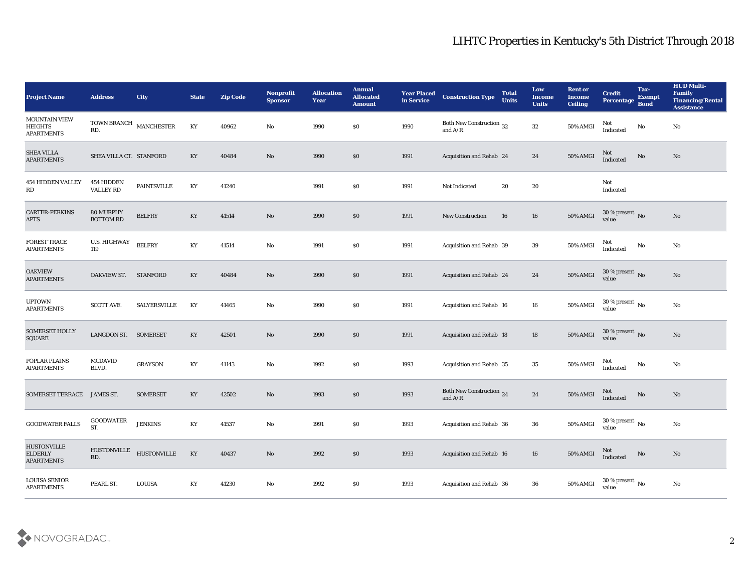| <b>Project Name</b>                                         | <b>Address</b>                     | <b>City</b>         | <b>State</b>           | <b>Zip Code</b> | Nonprofit<br><b>Sponsor</b> | <b>Allocation</b><br><b>Year</b> | <b>Annual</b><br><b>Allocated</b><br><b>Amount</b> | <b>Year Placed</b><br>in Service | <b>Construction Type</b>                                                          | <b>Total</b><br><b>Units</b> | Low<br><b>Income</b><br><b>Units</b> | <b>Rent or</b><br><b>Income</b><br><b>Ceiling</b> | <b>Credit</b><br>Percentage            | Tax-<br><b>Exempt</b><br><b>Bond</b> | <b>HUD Multi-</b><br>Family<br><b>Financing/Rental</b><br><b>Assistance</b> |
|-------------------------------------------------------------|------------------------------------|---------------------|------------------------|-----------------|-----------------------------|----------------------------------|----------------------------------------------------|----------------------------------|-----------------------------------------------------------------------------------|------------------------------|--------------------------------------|---------------------------------------------------|----------------------------------------|--------------------------------------|-----------------------------------------------------------------------------|
| <b>MOUNTAIN VIEW</b><br><b>HEIGHTS</b><br><b>APARTMENTS</b> | TOWN BRANCH $\,$ MANCHESTER<br>RD. |                     | $\mathbf{K}\mathbf{Y}$ | 40962           | No                          | 1990                             | \$0                                                | 1990                             | Both New Construction 32<br>and $A/R$                                             |                              | 32                                   | 50% AMGI                                          | Not<br>Indicated                       | No                                   | No                                                                          |
| <b>SHEA VILLA</b><br><b>APARTMENTS</b>                      | SHEA VILLA CT. STANFORD            |                     | KY                     | 40484           | No                          | 1990                             | \$0                                                | 1991                             | Acquisition and Rehab 24                                                          |                              | 24                                   | 50% AMGI                                          | Not<br>Indicated                       | $\mathbf{N}\mathbf{o}$               | No                                                                          |
| <b>454 HIDDEN VALLEY</b><br>RD                              | 454 HIDDEN<br><b>VALLEY RD</b>     | <b>PAINTSVILLE</b>  | KY                     | 41240           |                             | 1991                             | \$0                                                | 1991                             | Not Indicated                                                                     | 20                           | 20                                   |                                                   | Not<br>Indicated                       |                                      |                                                                             |
| <b>CARTER-PERKINS</b><br><b>APTS</b>                        | 80 MURPHY<br><b>BOTTOM RD</b>      | <b>BELFRY</b>       | KY                     | 41514           | $\rm\thinspace No$          | 1990                             | \$0                                                | 1991                             | <b>New Construction</b>                                                           | 16                           | 16                                   | 50% AMGI                                          | $30\,\%$ present $\,$ No value         |                                      | No                                                                          |
| <b>FOREST TRACE</b><br><b>APARTMENTS</b>                    | U.S. HIGHWAY<br>119                | <b>BELFRY</b>       | KY                     | 41514           | No                          | 1991                             | \$0                                                | 1991                             | Acquisition and Rehab 39                                                          |                              | 39                                   | 50% AMGI                                          | Not<br>Indicated                       | No                                   | No                                                                          |
| <b>OAKVIEW</b><br><b>APARTMENTS</b>                         | OAKVIEW ST. STANFORD               |                     | $\mathbf{K}\mathbf{Y}$ | 40484           | No                          | 1990                             | \$0                                                | 1991                             | Acquisition and Rehab 24                                                          |                              | 24                                   | <b>50% AMGI</b>                                   | $30\,\%$ present $\,$ No value         |                                      | No                                                                          |
| <b>UPTOWN</b><br><b>APARTMENTS</b>                          | <b>SCOTT AVE.</b>                  | <b>SALYERSVILLE</b> | KY                     | 41465           | No                          | 1990                             | \$0                                                | 1991                             | Acquisition and Rehab 16                                                          |                              | 16                                   | 50% AMGI                                          | $30\,\%$ present $\,$ No $\,$<br>value |                                      | No                                                                          |
| <b>SOMERSET HOLLY</b><br>SQUARE                             | LANGDON ST. SOMERSET               |                     | KY                     | 42501           | $\rm\thinspace No$          | 1990                             | \$0                                                | 1991                             | Acquisition and Rehab 18                                                          |                              | 18                                   | <b>50% AMGI</b>                                   | 30 % present $\,$ No $\,$<br>value     |                                      | No                                                                          |
| POPLAR PLAINS<br><b>APARTMENTS</b>                          | <b>MCDAVID</b><br>BLVD.            | <b>GRAYSON</b>      | KY                     | 41143           | No                          | 1992                             | \$0                                                | 1993                             | Acquisition and Rehab 35                                                          |                              | 35                                   | 50% AMGI                                          | Not<br>Indicated                       | No                                   | No                                                                          |
| <b>SOMERSET TERRACE</b>                                     | <b>JAMES ST.</b>                   | <b>SOMERSET</b>     | KY                     | 42502           | No                          | 1993                             | \$0                                                | 1993                             | Both New Construction 24<br>and $\ensuremath{\mathrm{A}}/\ensuremath{\mathrm{R}}$ |                              | 24                                   | <b>50% AMGI</b>                                   | Not<br>Indicated                       | $\rm \bf No$                         | No                                                                          |
| <b>GOODWATER FALLS</b>                                      | <b>GOODWATER</b><br>ST.            | <b>JENKINS</b>      | KY                     | 41537           | No                          | 1991                             | \$0                                                | 1993                             | <b>Acquisition and Rehab 36</b>                                                   |                              | 36                                   | $50\%$ AMGI                                       | 30 % present $\,$ No $\,$<br>value     |                                      | $\rm No$                                                                    |
| <b>HUSTONVILLE</b><br><b>ELDERLY</b><br><b>APARTMENTS</b>   | <b>HUSTONVILLE</b><br>RD.          | <b>HUSTONVILLE</b>  | KY                     | 40437           | $\rm\, No$                  | 1992                             | $\$0$                                              | 1993                             | Acquisition and Rehab 16                                                          |                              | 16                                   | 50% AMGI                                          | Not<br>Indicated                       | $\mathbf{N}\mathbf{o}$               | $\mathbf{N}\mathbf{o}$                                                      |
| <b>LOUISA SENIOR</b><br><b>APARTMENTS</b>                   | PEARL ST.                          | <b>LOUISA</b>       | $\mathbf{K}\mathbf{Y}$ | 41230           | $\mathbf {No}$              | 1992                             | $\$0$                                              | 1993                             | Acquisition and Rehab 36                                                          |                              | ${\bf 36}$                           | <b>50% AMGI</b>                                   | 30 % present $\,$ No $\,$<br>value     |                                      | $\mathbf {No}$                                                              |

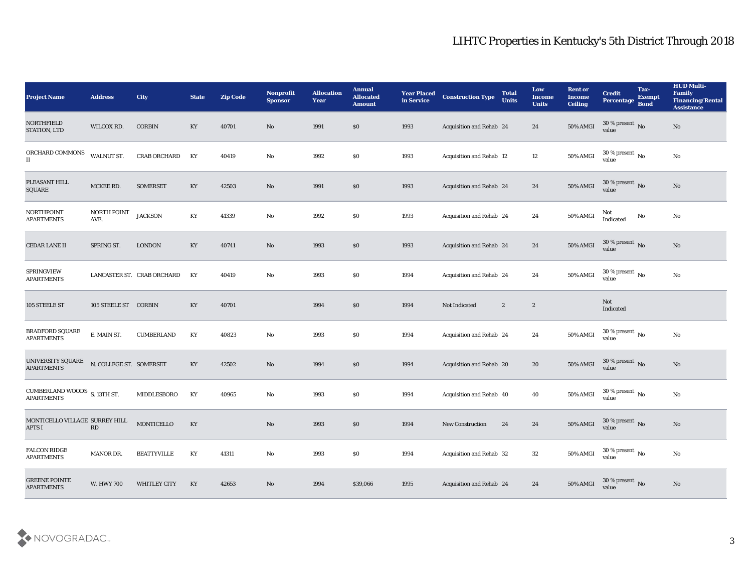| <b>Project Name</b>                                  | <b>Address</b>          | City                       | <b>State</b> | <b>Zip Code</b> | Nonprofit<br><b>Sponsor</b> | <b>Allocation</b><br><b>Year</b> | <b>Annual</b><br><b>Allocated</b><br><b>Amount</b> | <b>Year Placed</b><br>in Service | <b>Construction Type</b> | <b>Total</b><br><b>Units</b> | Low<br><b>Income</b><br><b>Units</b> | <b>Rent or</b><br><b>Income</b><br><b>Ceiling</b> | <b>Credit</b><br>Percentage          | Tax-<br><b>Exempt</b><br><b>Bond</b> | <b>HUD Multi-</b><br>Family<br><b>Financing/Rental</b><br><b>Assistance</b> |
|------------------------------------------------------|-------------------------|----------------------------|--------------|-----------------|-----------------------------|----------------------------------|----------------------------------------------------|----------------------------------|--------------------------|------------------------------|--------------------------------------|---------------------------------------------------|--------------------------------------|--------------------------------------|-----------------------------------------------------------------------------|
| <b>NORTHFIELD</b><br>STATION, LTD                    | WILCOX RD.              | <b>CORBIN</b>              | KY           | 40701           | No                          | 1991                             | $\$0$                                              | 1993                             | Acquisition and Rehab 24 |                              | 24                                   | <b>50% AMGI</b>                                   | $30\,\%$ present $\,$ No value       |                                      | No                                                                          |
| ORCHARD COMMONS<br>$\rm II$                          | WALNUT ST.              | <b>CRAB ORCHARD</b>        | KY           | 40419           | No                          | 1992                             | \$0                                                | 1993                             | Acquisition and Rehab 12 |                              | 12                                   | 50% AMGI                                          | $30\,\%$ present $\,$ No value       |                                      | $\rm No$                                                                    |
| PLEASANT HILL<br><b>SQUARE</b>                       | MCKEE RD.               | <b>SOMERSET</b>            | KY           | 42503           | No                          | 1991                             | \$0                                                | 1993                             | Acquisition and Rehab 24 |                              | 24                                   | 50% AMGI                                          | 30 % present $\bar{N}$ o<br>value    |                                      | $\mathbf{N}\mathbf{o}$                                                      |
| <b>NORTHPOINT</b><br><b>APARTMENTS</b>               | NORTH POINT<br>AVE.     | <b>JACKSON</b>             | KY           | 41339           | No                          | 1992                             | \$0                                                | 1993                             | Acquisition and Rehab 24 |                              | 24                                   | 50% AMGI                                          | Not<br>Indicated                     | No                                   | No                                                                          |
| <b>CEDAR LANE II</b>                                 | SPRING ST.              | <b>LONDON</b>              | KY           | 40741           | No                          | 1993                             | $\$0$                                              | 1993                             | Acquisition and Rehab 24 |                              | 24                                   | 50% AMGI                                          | $30\,\%$ present $\,$ No value       |                                      | $\rm\thinspace No$                                                          |
| SPRINGVIEW<br><b>APARTMENTS</b>                      |                         | LANCASTER ST. CRAB ORCHARD | KY           | 40419           | No                          | 1993                             | \$0                                                | 1994                             | Acquisition and Rehab 24 |                              | 24                                   | 50% AMGI                                          | 30 % present $\,$ No $\,$<br>value   |                                      | $\rm\thinspace No$                                                          |
| 105 STEELE ST                                        | 105 STEELE ST CORBIN    |                            | KY           | 40701           |                             | 1994                             | \$0                                                | 1994                             | Not Indicated            | $\boldsymbol{2}$             | $\boldsymbol{2}$                     |                                                   | Not<br>Indicated                     |                                      |                                                                             |
| BRADFORD SQUARE<br><b>APARTMENTS</b>                 | E. MAIN ST.             | <b>CUMBERLAND</b>          | KY           | 40823           | No                          | 1993                             | $\$0$                                              | 1994                             | Acquisition and Rehab 24 |                              | 24                                   | 50% AMGI                                          | 30 % present $\,$ No $\,$<br>value   |                                      | No                                                                          |
| UNIVERSITY SQUARE<br><b>APARTMENTS</b>               | N. COLLEGE ST. SOMERSET |                            | KY           | 42502           | No                          | 1994                             | \$0\$                                              | 1994                             | Acquisition and Rehab 20 |                              | 20                                   | <b>50% AMGI</b>                                   | 30 % present $\sqrt{\ }$ No<br>value |                                      | $\mathbf{N}\mathbf{o}$                                                      |
| CUMBERLAND WOODS $S$ . 13TH ST.<br><b>APARTMENTS</b> |                         | MIDDLESBORO                | KY           | 40965           | No                          | 1993                             | \$0\$                                              | 1994                             | Acquisition and Rehab 40 |                              | 40                                   | 50% AMGI                                          | $30\,\%$ present $\,$ No value       |                                      | $\rm\thinspace No$                                                          |
| MONTICELLO VILLAGE SURREY HILL<br><b>APTS I</b>      | $\mathbf{R}\mathbf{D}$  | MONTICELLO                 | KY           |                 | No                          | 1993                             | \$0\$                                              | 1994                             | <b>New Construction</b>  | 24                           | 24                                   | 50% AMGI                                          | 30 % present No<br>value             |                                      | $\mathbf{N}\mathbf{o}$                                                      |
| FALCON RIDGE<br><b>APARTMENTS</b>                    | MANOR DR.               | <b>BEATTYVILLE</b>         | KY           | 41311           | $\rm\thinspace No$          | 1993                             | $\$0$                                              | 1994                             | Acquisition and Rehab 32 |                              | $32\,$                               | 50% AMGI                                          | 30 % present $\,$ No $\,$<br>value   |                                      | $\mathbf {No}$                                                              |
| <b>GREENE POINTE</b><br><b>APARTMENTS</b>            | <b>W. HWY 700</b>       | WHITLEY CITY               | KY           | 42653           | $\mathbf{N}\mathbf{o}$      | 1994                             | \$39,066                                           | 1995                             | Acquisition and Rehab 24 |                              | 24                                   | 50% AMGI                                          | $30\,\%$ present $\,$ No value       |                                      | $\mathbf {No}$                                                              |

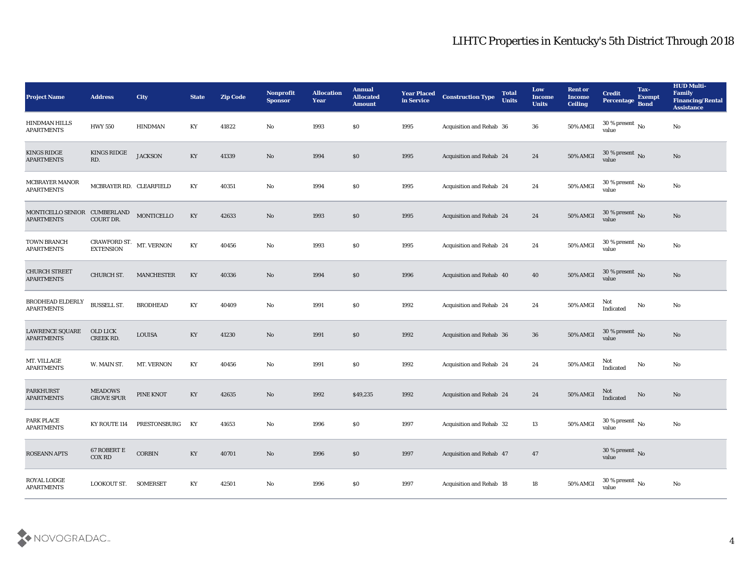| <b>Project Name</b>                               | <b>Address</b>                      | City              | <b>State</b>           | <b>Zip Code</b> | Nonprofit<br><b>Sponsor</b> | <b>Allocation</b><br><b>Year</b> | <b>Annual</b><br><b>Allocated</b><br><b>Amount</b> | <b>Year Placed</b><br>in Service | <b>Construction Type</b>        | <b>Total</b><br><b>Units</b> | Low<br><b>Income</b><br><b>Units</b> | <b>Rent or</b><br><b>Income</b><br><b>Ceiling</b> | <b>Credit</b><br>Percentage            | Tax-<br><b>Exempt</b><br><b>Bond</b> | <b>HUD Multi-</b><br><b>Family</b><br><b>Financing/Rental</b><br><b>Assistance</b> |
|---------------------------------------------------|-------------------------------------|-------------------|------------------------|-----------------|-----------------------------|----------------------------------|----------------------------------------------------|----------------------------------|---------------------------------|------------------------------|--------------------------------------|---------------------------------------------------|----------------------------------------|--------------------------------------|------------------------------------------------------------------------------------|
| <b>HINDMAN HILLS</b><br><b>APARTMENTS</b>         | <b>HWY 550</b>                      | <b>HINDMAN</b>    | KY                     | 41822           | No                          | 1993                             | $\$0$                                              | 1995                             | Acquisition and Rehab 36        |                              | 36                                   | 50% AMGI                                          | $30\,\%$ present $\,$ No $\,$<br>value |                                      | No                                                                                 |
| <b>KINGS RIDGE</b><br><b>APARTMENTS</b>           | <b>KINGS RIDGE</b><br>RD.           | <b>JACKSON</b>    | KY                     | 41339           | No                          | 1994                             | \$0                                                | 1995                             | Acquisition and Rehab 24        |                              | 24                                   | $50\%$ AMGI                                       | $30\,\%$ present $\,$ No value         |                                      | No                                                                                 |
| <b>MCBRAYER MANOR</b><br><b>APARTMENTS</b>        | MCBRAYER RD. CLEARFIELD             |                   | KY                     | 40351           | No                          | 1994                             | \$0                                                | 1995                             | Acquisition and Rehab 24        |                              | 24                                   | 50% AMGI                                          | 30 % present $\,$ No $\,$<br>value     |                                      | No                                                                                 |
| MONTICELLO SENIOR CUMBERLAND<br><b>APARTMENTS</b> | COURT DR.                           | MONTICELLO        | KY                     | 42633           | No                          | 1993                             | \$0                                                | 1995                             | <b>Acquisition and Rehab 24</b> |                              | 24                                   | 50% AMGI                                          | $30\,\%$ present $\,$ No value         |                                      | No                                                                                 |
| <b>TOWN BRANCH</b><br><b>APARTMENTS</b>           | CRAWFORD ST. MT. VERNON EXTENSION   |                   | KY                     | 40456           | No                          | 1993                             | $\$0$                                              | 1995                             | <b>Acquisition and Rehab 24</b> |                              | 24                                   | 50% AMGI                                          | $30\,\%$ present $\,$ No $\,$<br>value |                                      | No                                                                                 |
| <b>CHURCH STREET</b><br><b>APARTMENTS</b>         | CHURCH ST.                          | <b>MANCHESTER</b> | KY                     | 40336           | No                          | 1994                             | $\$0$                                              | 1996                             | Acquisition and Rehab 40        |                              | 40                                   | <b>50% AMGI</b>                                   | $30\,\%$ present $\,$ No value         |                                      | No                                                                                 |
| BRODHEAD ELDERLY<br><b>APARTMENTS</b>             | <b>BUSSELL ST.</b>                  | <b>BRODHEAD</b>   | KY                     | 40409           | No                          | 1991                             | \$0                                                | 1992                             | Acquisition and Rehab 24        |                              | 24                                   | 50% AMGI                                          | Not<br>Indicated                       | No                                   | No                                                                                 |
| <b>LAWRENCE SQUARE</b><br><b>APARTMENTS</b>       | OLD LICK<br>CREEK RD.               | <b>LOUISA</b>     | KY                     | 41230           | No                          | 1991                             | \$0                                                | 1992                             | Acquisition and Rehab 36        |                              | 36                                   | 50% AMGI                                          | 30 % present $\,$ No $\,$<br>value     |                                      | No                                                                                 |
| MT. VILLAGE<br><b>APARTMENTS</b>                  | W. MAIN ST.                         | MT. VERNON        | KY                     | 40456           | No                          | 1991                             | \$0                                                | 1992                             | <b>Acquisition and Rehab 24</b> |                              | 24                                   | 50% AMGI                                          | Not<br>Indicated                       | No                                   | No                                                                                 |
| <b>PARKHURST</b><br><b>APARTMENTS</b>             | <b>MEADOWS</b><br><b>GROVE SPUR</b> | PINE KNOT         | KY                     | 42635           | No                          | 1992                             | \$49,235                                           | 1992                             | Acquisition and Rehab 24        |                              | 24                                   | $50\%$ AMGI                                       | Not<br>Indicated                       | $\mathbf {No}$                       | No                                                                                 |
| PARK PLACE<br><b>APARTMENTS</b>                   | KY ROUTE 114                        | PRESTONSBURG      | KY                     | 41653           | No                          | 1996                             | \$0                                                | 1997                             | Acquisition and Rehab 32        |                              | 13                                   | 50% AMGI                                          | 30 % present $\,$ No $\,$<br>value     |                                      | $\mathbf {No}$                                                                     |
| ROSEANN APTS                                      | $67$ ROBERT E<br>$\rm COX$ RD       | $\mbox{CORBIN}$   | $\mathbf{K}\mathbf{Y}$ | 40701           | $\rm\thinspace No$          | 1996                             | $\$0$                                              | 1997                             | Acquisition and Rehab 47        |                              | 47                                   |                                                   | $30\,\%$ present $\,$ No value         |                                      |                                                                                    |
| ROYAL LODGE<br><b>APARTMENTS</b>                  | LOOKOUT ST. SOMERSET                |                   | $\mathbf{K}\mathbf{Y}$ | 42501           | $\rm\thinspace No$          | 1996                             | $\$0$                                              | 1997                             | Acquisition and Rehab 18        |                              | $18\,$                               | 50% AMGI                                          | $30\,\%$ present $\,$ No value         |                                      | $\mathbf {No}$                                                                     |

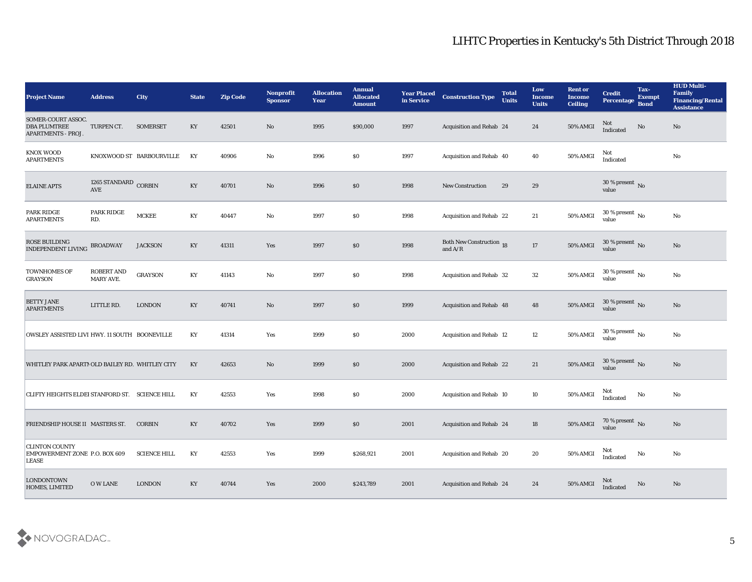| <b>Project Name</b>                                                    | <b>Address</b>                        | City                     | <b>State</b> | <b>Zip Code</b> | Nonprofit<br><b>Sponsor</b>   | <b>Allocation</b><br><b>Year</b> | <b>Annual</b><br><b>Allocated</b><br><b>Amount</b> | <b>Year Placed</b><br>in Service | <b>Construction Type</b>                                                          | <b>Total</b><br><b>Units</b> | Low<br><b>Income</b><br><b>Units</b> | <b>Rent or</b><br><b>Income</b><br><b>Ceiling</b> | <b>Credit</b><br><b>Percentage</b> | Tax-<br><b>Exempt</b><br><b>Bond</b> | <b>HUD Multi-</b><br>Family<br><b>Financing/Rental</b><br><b>Assistance</b> |
|------------------------------------------------------------------------|---------------------------------------|--------------------------|--------------|-----------------|-------------------------------|----------------------------------|----------------------------------------------------|----------------------------------|-----------------------------------------------------------------------------------|------------------------------|--------------------------------------|---------------------------------------------------|------------------------------------|--------------------------------------|-----------------------------------------------------------------------------|
| SOMER-COURT ASSOC.<br><b>DBA PLUMTREE</b><br><b>APARTMENTS - PROJ.</b> | TURPEN CT.                            | <b>SOMERSET</b>          | KY           | 42501           | No                            | 1995                             | \$90,000                                           | 1997                             | Acquisition and Rehab 24                                                          |                              | 24                                   | 50% AMGI                                          | Not<br>Indicated                   | No                                   | No                                                                          |
| <b>KNOX WOOD</b><br><b>APARTMENTS</b>                                  |                                       | KNOXWOOD ST BARBOURVILLE | KY           | 40906           | No                            | 1996                             | \$0                                                | 1997                             | Acquisition and Rehab 40                                                          |                              | 40                                   | 50% AMGI                                          | Not<br>Indicated                   |                                      | No                                                                          |
| <b>ELAINE APTS</b>                                                     | 1265 STANDARD CORBIN<br>AVE           |                          | KY           | 40701           | No                            | 1996                             | \$0                                                | 1998                             | <b>New Construction</b>                                                           | 29                           | 29                                   |                                                   | 30 % present $\bar{N}$ o<br>value  |                                      |                                                                             |
| PARK RIDGE<br><b>APARTMENTS</b>                                        | PARK RIDGE<br>RD.                     | <b>MCKEE</b>             | KY           | 40447           | No                            | 1997                             | \$0                                                | 1998                             | Acquisition and Rehab 22                                                          |                              | 21                                   | 50% AMGI                                          | 30 % present $\,$ No $\,$<br>value |                                      | No                                                                          |
| ROSE BUILDING<br><b>INDEPENDENT LIVING</b>                             | <b>BROADWAY</b>                       | <b>JACKSON</b>           | KY           | 41311           | Yes                           | 1997                             | \$0                                                | 1998                             | Both New Construction 18<br>and $\ensuremath{\mathrm{A}}/\ensuremath{\mathrm{R}}$ |                              | 17                                   | 50% AMGI                                          | $30\,\%$ present $\,$ No value     |                                      | No                                                                          |
| <b>TOWNHOMES OF</b><br><b>GRAYSON</b>                                  | <b>ROBERT AND</b><br><b>MARY AVE.</b> | <b>GRAYSON</b>           | KY           | 41143           | No                            | 1997                             | \$0                                                | 1998                             | Acquisition and Rehab 32                                                          |                              | 32                                   | 50% AMGI                                          | 30 % present $\,$ No $\,$<br>value |                                      | No                                                                          |
| <b>BETTY JANE</b><br><b>APARTMENTS</b>                                 | LITTLE RD.                            | <b>LONDON</b>            | KY           | 40741           | No                            | 1997                             | \$0                                                | 1999                             | Acquisition and Rehab 48                                                          |                              | 48                                   | 50% AMGI                                          | $30\,\%$ present $\,$ No value     |                                      | No                                                                          |
| OWSLEY ASSISTED LIVI HWY. 11 SOUTH BOONEVILLE                          |                                       |                          | KY           | 41314           | Yes                           | 1999                             | \$0                                                | 2000                             | <b>Acquisition and Rehab 12</b>                                                   |                              | 12                                   | 50% AMGI                                          | 30 % present $\,$ No $\,$<br>value |                                      | No                                                                          |
| WHITLEY PARK APARTN OLD BAILEY RD. WHITLEY CITY                        |                                       |                          | KY           | 42653           | No                            | 1999                             | \$0                                                | 2000                             | Acquisition and Rehab 22                                                          |                              | 21                                   | 50% AMGI                                          | $30\,\%$ present $\,$ No value     |                                      | No                                                                          |
| CLIFTY HEIGHTS ELDEI STANFORD ST. SCIENCE HILL                         |                                       |                          | KY           | 42553           | Yes                           | 1998                             | \$0                                                | 2000                             | <b>Acquisition and Rehab 10</b>                                                   |                              | 10                                   | 50% AMGI                                          | Not<br>Indicated                   | $\mathbf {No}$                       | No                                                                          |
| FRIENDSHIP HOUSE II MASTERS ST.                                        |                                       | <b>CORBIN</b>            | KY           | 40702           | Yes                           | 1999                             | \$0                                                | 2001                             | Acquisition and Rehab 24                                                          |                              | 18                                   | 50% AMGI                                          | 70 % present No<br>value           |                                      | No                                                                          |
| <b>CLINTON COUNTY</b><br>EMPOWERMENT ZONE P.O. BOX 609<br><b>LEASE</b> |                                       | <b>SCIENCE HILL</b>      | KY           | 42553           | $\operatorname{\textsc{Yes}}$ | 1999                             | \$268,921                                          | 2001                             | Acquisition and Rehab 20                                                          |                              | 20                                   | 50% AMGI                                          | Not<br>Indicated                   | No                                   | $\mathbf {No}$                                                              |
| <b>LONDONTOWN</b><br>HOMES, LIMITED                                    | $\hbox{O}\,\hbox{W}$ LANE             | <b>LONDON</b>            | KY           | 40744           | Yes                           | 2000                             | \$243,789                                          | 2001                             | Acquisition and Rehab 24                                                          |                              | 24                                   | 50% AMGI                                          | Not<br>Indicated                   | No                                   | No                                                                          |

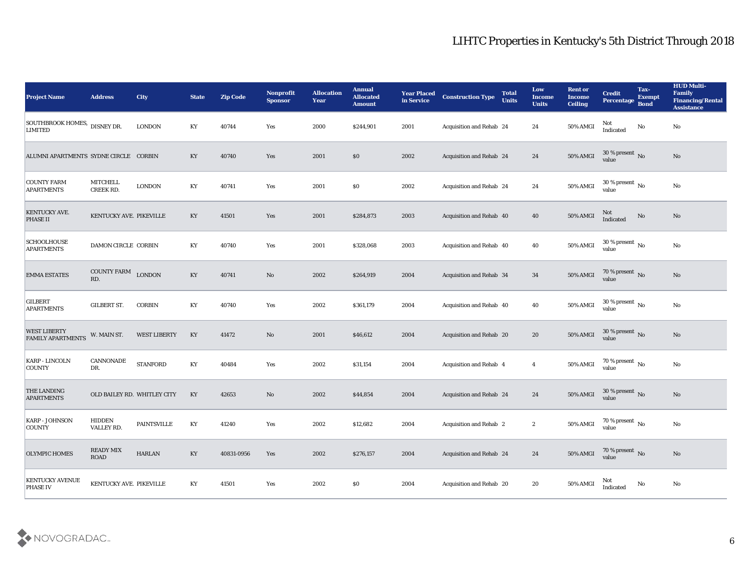| <b>Project Name</b>                             | <b>Address</b>               | <b>City</b>                 | <b>State</b>           | <b>Zip Code</b> | Nonprofit<br><b>Sponsor</b> | <b>Allocation</b><br><b>Year</b> | <b>Annual</b><br><b>Allocated</b><br><b>Amount</b> | <b>Year Placed</b><br>in Service | <b>Construction Type</b>       | <b>Total</b><br><b>Units</b> | Low<br><b>Income</b><br><b>Units</b> | <b>Rent or</b><br><b>Income</b><br><b>Ceiling</b> | <b>Credit</b><br><b>Percentage</b>     | Tax-<br><b>Exempt</b><br><b>Bond</b> | <b>HUD Multi-</b><br>Family<br><b>Financing/Rental</b><br><b>Assistance</b> |
|-------------------------------------------------|------------------------------|-----------------------------|------------------------|-----------------|-----------------------------|----------------------------------|----------------------------------------------------|----------------------------------|--------------------------------|------------------------------|--------------------------------------|---------------------------------------------------|----------------------------------------|--------------------------------------|-----------------------------------------------------------------------------|
| SOUTHBROOK HOMES, DISNEY DR.<br><b>LIMITED</b>  |                              | <b>LONDON</b>               | KY                     | 40744           | Yes                         | 2000                             | \$244,901                                          | 2001                             | Acquisition and Rehab 24       |                              | 24                                   | 50% AMGI                                          | <b>Not</b><br>Indicated                | No                                   | No                                                                          |
| ALUMNI APARTMENTS SYDNE CIRCLE CORBIN           |                              |                             | KY                     | 40740           | Yes                         | 2001                             | $\$0$                                              | 2002                             | Acquisition and Rehab 24       |                              | 24                                   | 50% AMGI                                          | $30\,\%$ present $\,$ No value         |                                      | No                                                                          |
| <b>COUNTY FARM</b><br><b>APARTMENTS</b>         | <b>MITCHELL</b><br>CREEK RD. | <b>LONDON</b>               | KY                     | 40741           | Yes                         | 2001                             | \$0                                                | 2002                             | Acquisition and Rehab 24       |                              | 24                                   | 50% AMGI                                          | 30 % present $\,$ No $\,$<br>value     |                                      | No                                                                          |
| KENTUCKY AVE.<br><b>PHASE II</b>                | KENTUCKY AVE. PIKEVILLE      |                             | KY                     | 41501           | Yes                         | 2001                             | \$284,873                                          | 2003                             | Acquisition and Rehab 40       |                              | 40                                   | <b>50% AMGI</b>                                   | Not<br>Indicated                       | No                                   | No                                                                          |
| <b>SCHOOLHOUSE</b><br><b>APARTMENTS</b>         | DAMON CIRCLE CORBIN          |                             | KY                     | 40740           | Yes                         | 2001                             | \$328,068                                          | 2003                             | Acquisition and Rehab 40       |                              | 40                                   | 50% AMGI                                          | $30\,\%$ present $\,$ No $\,$<br>value |                                      | No                                                                          |
| <b>EMMA ESTATES</b>                             | <b>COUNTY FARM</b><br>RD.    | <b>LONDON</b>               | $\mathbf{K}\mathbf{Y}$ | 40741           | No                          | 2002                             | \$264,919                                          | 2004                             | Acquisition and Rehab 34       |                              | 34                                   | 50% AMGI                                          | $70\,\%$ present $\,$ No value         |                                      | No                                                                          |
| <b>GILBERT</b><br><b>APARTMENTS</b>             | <b>GILBERT ST.</b>           | <b>CORBIN</b>               | KY                     | 40740           | Yes                         | 2002                             | \$361,179                                          | 2004                             | Acquisition and Rehab 40       |                              | 40                                   | <b>50% AMGI</b>                                   | $30\,\%$ present $\,$ No value         |                                      | No                                                                          |
| <b>WEST LIBERTY</b><br><b>FAMILY APARTMENTS</b> | W. MAIN ST.                  | <b>WEST LIBERTY</b>         | KY                     | 41472           | $\mathbf{N}\mathbf{o}$      | 2001                             | \$46,612                                           | 2004                             | Acquisition and Rehab 20       |                              | 20                                   | <b>50% AMGI</b>                                   | $30$ % present $\,$ No $\,$<br>value   |                                      | No                                                                          |
| <b>KARP - LINCOLN</b><br><b>COUNTY</b>          | CANNONADE<br>DR.             | <b>STANFORD</b>             | KY                     | 40484           | Yes                         | 2002                             | \$31,154                                           | 2004                             | Acquisition and Rehab 4        |                              | $\overline{4}$                       | 50% AMGI                                          | 70 % present $\,$ No $\,$<br>value     |                                      | No                                                                          |
| THE LANDING<br><b>APARTMENTS</b>                |                              | OLD BAILEY RD. WHITLEY CITY | KY                     | 42653           | No                          | 2002                             | \$44,854                                           | 2004                             | Acquisition and Rehab 24       |                              | 24                                   | 50% AMGI                                          | $30\,\%$ present $\,$ No value         |                                      | No                                                                          |
| <b>KARP - JOHNSON</b><br>COUNTY                 | HIDDEN<br>VALLEY RD.         | <b>PAINTSVILLE</b>          | KY                     | 41240           | Yes                         | 2002                             | \$12,682                                           | 2004                             | <b>Acquisition and Rehab 2</b> |                              | $\boldsymbol{2}$                     | 50% AMGI                                          | 70 % present $\sqrt{\ }$ No<br>value   |                                      | $\rm\thinspace No$                                                          |
| <b>OLYMPIC HOMES</b>                            | READY MIX<br>ROAD            | <b>HARLAN</b>               | $\mathbf{K}\mathbf{Y}$ | 40831-0956      | Yes                         | 2002                             | \$276,157                                          | 2004                             | Acquisition and Rehab 24       |                              | 24                                   | 50% AMGI                                          | $70\,\%$ present $\,$ No value         |                                      | $\mathbf{N}\mathbf{o}$                                                      |
| KENTUCKY AVENUE<br>PHASE IV                     | KENTUCKY AVE. PIKEVILLE      |                             | $\mathbf{K}\mathbf{Y}$ | 41501           | $\mathbf{Yes}$              | 2002                             | \$0                                                | 2004                             | Acquisition and Rehab 20       |                              | 20                                   | 50% AMGI                                          | Not<br>Indicated                       | No                                   | $\mathbf {No}$                                                              |

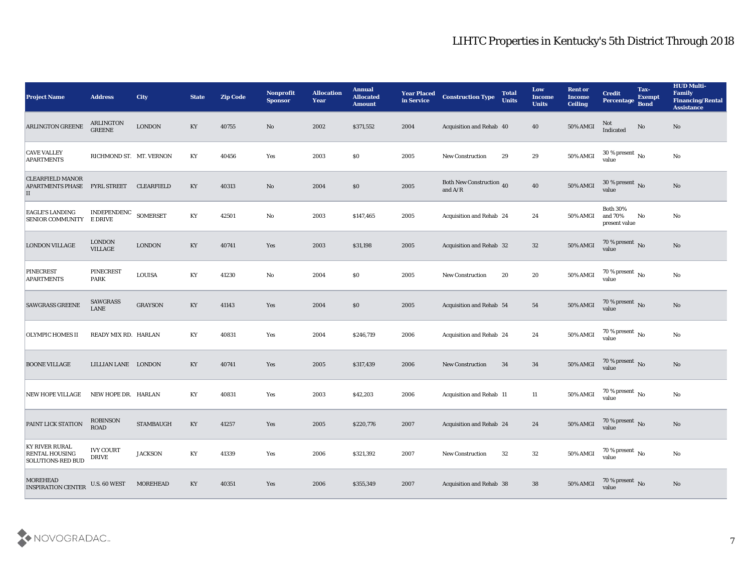| <b>Project Name</b>                                                        | <b>Address</b>                             | <b>City</b>       | <b>State</b>           | <b>Zip Code</b> | <b>Nonprofit</b><br><b>Sponsor</b> | <b>Allocation</b><br>Year | <b>Annual</b><br><b>Allocated</b><br><b>Amount</b> | <b>Year Placed</b><br>in Service | <b>Construction Type</b>              | <b>Total</b><br><b>Units</b> | Low<br><b>Income</b><br><b>Units</b> | <b>Rent or</b><br>Income<br><b>Ceiling</b> | <b>Credit</b><br><b>Percentage</b>          | Tax-<br><b>Exempt</b><br><b>Bond</b> | <b>HUD Multi-</b><br>Family<br><b>Financing/Rental</b><br><b>Assistance</b> |
|----------------------------------------------------------------------------|--------------------------------------------|-------------------|------------------------|-----------------|------------------------------------|---------------------------|----------------------------------------------------|----------------------------------|---------------------------------------|------------------------------|--------------------------------------|--------------------------------------------|---------------------------------------------|--------------------------------------|-----------------------------------------------------------------------------|
| <b>ARLINGTON GREENE</b>                                                    | <b>ARLINGTON</b><br><b>GREENE</b>          | <b>LONDON</b>     | KY                     | 40755           | No                                 | 2002                      | \$371,552                                          | 2004                             | Acquisition and Rehab 40              |                              | 40                                   | 50% AMGI                                   | Not<br>Indicated                            | No                                   | No                                                                          |
| <b>CAVE VALLEY</b><br><b>APARTMENTS</b>                                    | RICHMOND ST. MT. VERNON                    |                   | KY                     | 40456           | Yes                                | 2003                      | $\$0$                                              | 2005                             | New Construction                      | 29                           | 29                                   | $50\%$ AMGI                                | $30\,\%$ present $\,$ No value              |                                      | No                                                                          |
| <b>CLEARFIELD MANOR</b><br>APARTMENTS PHASE<br>П                           | FYRL STREET                                | <b>CLEARFIELD</b> | KY                     | 40313           | No                                 | 2004                      | \$0                                                | 2005                             | Both New Construction 40<br>and $A/R$ |                              | 40                                   | 50% AMGI                                   | 30 % present $\bar{N}$ o<br>value           |                                      | No                                                                          |
| <b>EAGLE'S LANDING</b><br><b>SENIOR COMMUNITY</b>                          | INDEPENDENC SOMERSET<br><b>E DRIVE</b>     |                   | KY                     | 42501           | No                                 | 2003                      | \$147,465                                          | 2005                             | Acquisition and Rehab 24              |                              | 24                                   | 50% AMGI                                   | <b>Both 30%</b><br>and 70%<br>present value | No                                   | No                                                                          |
| <b>LONDON VILLAGE</b>                                                      | <b>LONDON</b><br><b>VILLAGE</b>            | <b>LONDON</b>     | $\mathbf{K}\mathbf{Y}$ | 40741           | Yes                                | 2003                      | \$31,198                                           | 2005                             | Acquisition and Rehab 32              |                              | 32                                   | 50% AMGI                                   | $70\,\%$ present $\,$ No value              |                                      | No                                                                          |
| PINECREST<br><b>APARTMENTS</b>                                             | <b>PINECREST</b><br><b>PARK</b>            | <b>LOUISA</b>     | KY                     | 41230           | No                                 | 2004                      | $\$0$                                              | 2005                             | <b>New Construction</b>               | 20                           | 20                                   | 50% AMGI                                   | $70\,\%$ present $\,$ No value              |                                      | No                                                                          |
| <b>SAWGRASS GREENE</b>                                                     | <b>SAWGRASS</b><br><b>LANE</b>             | <b>GRAYSON</b>    | KY                     | 41143           | Yes                                | 2004                      | \$0                                                | 2005                             | Acquisition and Rehab 54              |                              | 54                                   | $50\%$ AMGI                                | $\frac{70\%}{value}$ No                     |                                      | No                                                                          |
| <b>OLYMPIC HOMES II</b>                                                    | READY MIX RD. HARLAN                       |                   | KY                     | 40831           | Yes                                | 2004                      | \$246,719                                          | 2006                             | Acquisition and Rehab 24              |                              | 24                                   | 50% AMGI                                   | 70 % present $\sqrt{\ }$ No<br>value        |                                      | $\mathbf{N}\mathbf{o}$                                                      |
| <b>BOONE VILLAGE</b>                                                       | LILLIAN LANE LONDON                        |                   | $\mathbf{K}\mathbf{Y}$ | 40741           | Yes                                | 2005                      | \$317,439                                          | 2006                             | <b>New Construction</b>               | 34                           | 34                                   | <b>50% AMGI</b>                            | $70\,\%$ present $\,$ No value              |                                      | $\mathbf{N}\mathbf{o}$                                                      |
| NEW HOPE VILLAGE                                                           | NEW HOPE DR. HARLAN                        |                   | KY                     | 40831           | Yes                                | 2003                      | \$42,203                                           | 2006                             | Acquisition and Rehab 11              |                              | 11                                   | 50% AMGI                                   | $70\,\%$ present $\,$ No value              |                                      | No                                                                          |
| PAINT LICK STATION                                                         | <b>ROBINSON</b><br><b>ROAD</b>             | <b>STAMBAUGH</b>  | KY                     | 41257           | Yes                                | 2005                      | \$220,776                                          | 2007                             | Acquisition and Rehab 24              |                              | 24                                   | 50% AMGI                                   | 70 % present No<br>value                    |                                      | No                                                                          |
| <b>KY RIVER RURAL</b><br><b>RENTAL HOUSING</b><br><b>SOLUTIONS-RED BUD</b> | <b>IVY COURT</b><br>$\operatorname{DRIVE}$ | <b>JACKSON</b>    | $\mathbf{K}\mathbf{Y}$ | 41339           | $\mathbf{Yes}$                     | 2006                      | \$321,392                                          | 2007                             | New Construction                      | 32                           | 32                                   | 50% AMGI                                   | $70\,\%$ present $\,$ No value              |                                      | $\mathbf {No}$                                                              |
| MOREHEAD<br><b>INSPIRATION CENTER</b>                                      | U.S. 60 WEST                               | <b>MOREHEAD</b>   | $\mathbf{K}\mathbf{Y}$ | 40351           | $\mathbf{Yes}$                     | 2006                      | \$355,349                                          | 2007                             | Acquisition and Rehab 38              |                              | 38                                   | 50% AMGI                                   | $70\,\%$ present $\,$ No value              |                                      | $\mathbf {No}$                                                              |

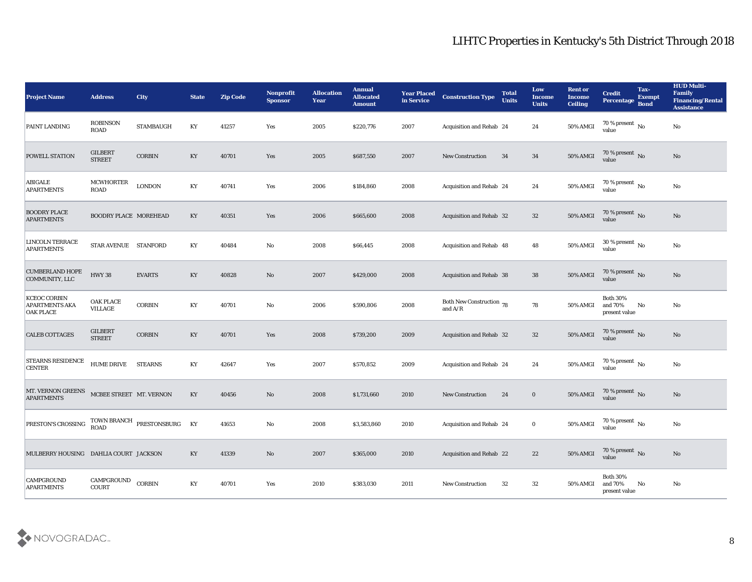| <b>Project Name</b>                                       | <b>Address</b>                     | <b>City</b>                 | <b>State</b>           | <b>Zip Code</b> | <b>Nonprofit</b><br><b>Sponsor</b> | <b>Allocation</b><br><b>Year</b> | <b>Annual</b><br><b>Allocated</b><br><b>Amount</b> | <b>Year Placed</b><br>in Service | <b>Construction Type</b>              | <b>Total</b><br><b>Units</b> | Low<br><b>Income</b><br><b>Units</b> | <b>Rent or</b><br><b>Income</b><br><b>Ceiling</b> | <b>Credit</b><br><b>Percentage</b>            | Tax-<br><b>Exempt</b><br><b>Bond</b> | <b>HUD Multi-</b><br>Family<br><b>Financing/Rental</b><br><b>Assistance</b> |
|-----------------------------------------------------------|------------------------------------|-----------------------------|------------------------|-----------------|------------------------------------|----------------------------------|----------------------------------------------------|----------------------------------|---------------------------------------|------------------------------|--------------------------------------|---------------------------------------------------|-----------------------------------------------|--------------------------------------|-----------------------------------------------------------------------------|
| PAINT LANDING                                             | <b>ROBINSON</b><br><b>ROAD</b>     | <b>STAMBAUGH</b>            | KY                     | 41257           | Yes                                | 2005                             | \$220,776                                          | 2007                             | Acquisition and Rehab 24              |                              | 24                                   | 50% AMGI                                          | 70 % present $\,$ No $\,$<br>value            |                                      | No                                                                          |
| <b>POWELL STATION</b>                                     | <b>GILBERT</b><br><b>STREET</b>    | $\mbox{CORBIN}$             | KY                     | 40701           | Yes                                | 2005                             | \$687,550                                          | 2007                             | <b>New Construction</b>               | 34                           | 34                                   | 50% AMGI                                          | $70\,\%$ present $\,$ No value                |                                      | No                                                                          |
| <b>ABIGALE</b><br><b>APARTMENTS</b>                       | <b>MCWHORTER</b><br><b>ROAD</b>    | <b>LONDON</b>               | KY                     | 40741           | Yes                                | 2006                             | \$184,860                                          | 2008                             | Acquisition and Rehab 24              |                              | 24                                   | 50% AMGI                                          | 70 % present $\,$ No $\,$<br>value            |                                      | No                                                                          |
| <b>BOODRY PLACE</b><br><b>APARTMENTS</b>                  | <b>BOODRY PLACE MOREHEAD</b>       |                             | KY                     | 40351           | Yes                                | 2006                             | \$665,600                                          | 2008                             | Acquisition and Rehab 32              |                              | 32                                   | 50% AMGI                                          | $70\,\%$ present $\,$ No value                |                                      | No                                                                          |
| LINCOLN TERRACE<br><b>APARTMENTS</b>                      | STAR AVENUE STANFORD               |                             | KY                     | 40484           | No                                 | 2008                             | \$66,445                                           | 2008                             | Acquisition and Rehab 48              |                              | 48                                   | 50% AMGI                                          | 30 % present $\,$ No $\,$<br>value            |                                      | No                                                                          |
| <b>CUMBERLAND HOPE</b><br>COMMUNITY, LLC                  | <b>HWY 38</b>                      | <b>EVARTS</b>               | $\mathbf{K}\mathbf{Y}$ | 40828           | No                                 | 2007                             | \$429,000                                          | 2008                             | Acquisition and Rehab 38              |                              | 38                                   | <b>50% AMGI</b>                                   | $70$ % present $\,$ No value                  |                                      | No                                                                          |
| KCEOC CORBIN<br><b>APARTMENTS AKA</b><br><b>OAK PLACE</b> | <b>OAK PLACE</b><br><b>VILLAGE</b> | <b>CORBIN</b>               | KY                     | 40701           | No                                 | 2006                             | \$590,806                                          | 2008                             | Both New Construction 78<br>and $A/R$ |                              | 78                                   | 50% AMGI                                          | <b>Both 30%</b><br>and 70%<br>present value   | No                                   | No                                                                          |
| <b>CALEB COTTAGES</b>                                     | <b>GILBERT</b><br><b>STREET</b>    | <b>CORBIN</b>               | $\mathbf{K}\mathbf{Y}$ | 40701           | Yes                                | 2008                             | \$739,200                                          | 2009                             | Acquisition and Rehab 32              |                              | 32                                   | 50% AMGI                                          | 70 % present No<br>value                      |                                      | No                                                                          |
| <b>STEARNS RESIDENCE</b><br><b>CENTER</b>                 | <b>HUME DRIVE</b>                  | <b>STEARNS</b>              | KY                     | 42647           | Yes                                | 2007                             | \$570,852                                          | 2009                             | Acquisition and Rehab 24              |                              | 24                                   | 50% AMGI                                          | 70 % present $\sqrt{\phantom{a}}$ No<br>value |                                      | No                                                                          |
| MT. VERNON GREENS<br><b>APARTMENTS</b>                    | MCBEE STREET MT. VERNON            |                             | KY                     | 40456           | No                                 | 2008                             | \$1,731,660                                        | 2010                             | <b>New Construction</b>               | 24                           | $\bf{0}$                             | <b>50% AMGI</b>                                   | $70\,\%$ present $\,$ No value                |                                      | No                                                                          |
| PRESTON'S CROSSING                                        | <b>ROAD</b>                        | TOWN BRANCH PRESTONSBURG KY |                        | 41653           | No                                 | 2008                             | \$3,583,860                                        | 2010                             | Acquisition and Rehab 24              |                              | $\bf{0}$                             | 50% AMGI                                          | 70 % present $\sqrt{\ }$ No<br>value          |                                      | $\mathbf{N}\mathbf{o}$                                                      |
| MULBERRY HOUSING DAHLIA COURT JACKSON                     |                                    |                             | KY                     | 41339           | $\rm\thinspace No$                 | 2007                             | \$365,000                                          | 2010                             | Acquisition and Rehab 22              |                              | 22                                   | 50% AMGI                                          | $70\,\%$ present $\,$ No value                |                                      | $\mathbf{N}\mathbf{o}$                                                      |
| CAMPGROUND<br><b>APARTMENTS</b>                           | CAMPGROUND<br>COURT                | <b>CORBIN</b>               | $\mathbf{K}\mathbf{Y}$ | 40701           | $\mathbf{Yes}$                     | 2010                             | \$383,030                                          | 2011                             | New Construction                      | 32                           | $32\,$                               | 50% AMGI                                          | <b>Both 30%</b><br>and 70%<br>present value   | No                                   | $\mathbf {No}$                                                              |

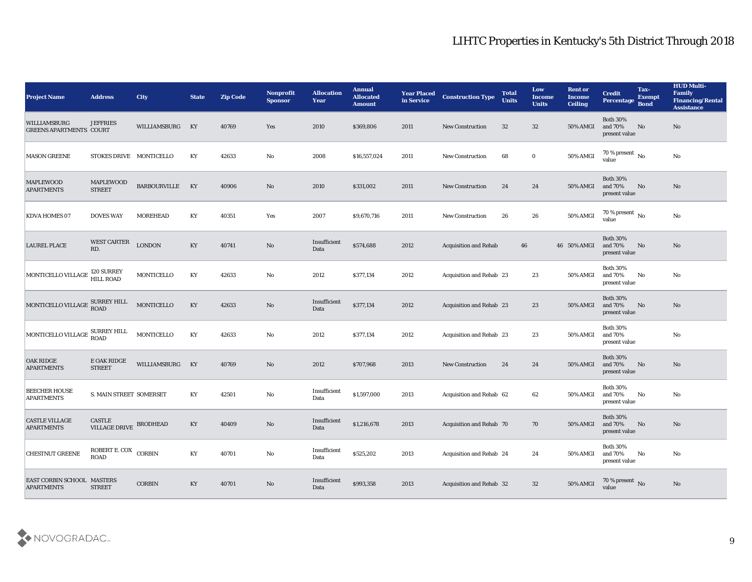| <b>Project Name</b>                             | <b>Address</b>                          | City                | <b>State</b>           | <b>Zip Code</b> | <b>Nonprofit</b><br><b>Sponsor</b> | <b>Allocation</b><br><b>Year</b>             | <b>Annual</b><br><b>Allocated</b><br><b>Amount</b> | <b>Year Placed</b><br>in Service | <b>Construction Type</b>        | <b>Total</b><br><b>Units</b> | Low<br><b>Income</b><br><b>Units</b> | <b>Rent or</b><br><b>Income</b><br><b>Ceiling</b> | <b>Credit</b><br>Percentage                    | Tax-<br><b>Exempt</b><br><b>Bond</b> | <b>HUD Multi-</b><br>Family<br><b>Financing/Rental</b><br><b>Assistance</b> |
|-------------------------------------------------|-----------------------------------------|---------------------|------------------------|-----------------|------------------------------------|----------------------------------------------|----------------------------------------------------|----------------------------------|---------------------------------|------------------------------|--------------------------------------|---------------------------------------------------|------------------------------------------------|--------------------------------------|-----------------------------------------------------------------------------|
| WILLIAMSBURG<br><b>GREENS APARTMENTS COURT</b>  | <b>JEFFRIES</b>                         | WILLIAMSBURG        | KY                     | 40769           | Yes                                | 2010                                         | \$369,806                                          | 2011                             | <b>New Construction</b>         | 32                           | 32                                   | 50% AMGI                                          | <b>Both 30%</b><br>and 70%<br>present value    | No                                   | No                                                                          |
| <b>MASON GREENE</b>                             | STOKES DRIVE MONTICELLO                 |                     | KY                     | 42633           | No                                 | 2008                                         | \$16,557,024                                       | 2011                             | <b>New Construction</b>         | 68                           | $\bf{0}$                             | 50% AMGI                                          | $70\,\%$ present $\,$ No value                 |                                      | $\mathbf{N}\mathbf{o}$                                                      |
| <b>MAPLEWOOD</b><br><b>APARTMENTS</b>           | MAPLEWOOD<br><b>STREET</b>              | <b>BARBOURVILLE</b> | KY                     | 40906           | No                                 | 2010                                         | \$331,002                                          | 2011                             | <b>New Construction</b>         | 24                           | 24                                   | <b>50% AMGI</b>                                   | <b>Both 30%</b><br>and 70%<br>present value    | No                                   | No                                                                          |
| KDVA HOMES 07                                   | <b>DOVES WAY</b>                        | <b>MOREHEAD</b>     | KY                     | 40351           | Yes                                | 2007                                         | \$9,670,716                                        | 2011                             | <b>New Construction</b>         | 26                           | 26                                   | 50% AMGI                                          | 70 % present $\,$ No $\,$<br>value             |                                      | $\mathbf{N}\mathbf{o}$                                                      |
| <b>LAUREL PLACE</b>                             | <b>WEST CARTER</b><br>RD.               | <b>LONDON</b>       | KY                     | 40741           | No                                 | Insufficient<br>Data                         | \$574,688                                          | 2012                             | <b>Acquisition and Rehab</b>    | 46                           |                                      | 46 50% AMGI                                       | <b>Both 30%</b><br>and 70%<br>present value    | No                                   | No                                                                          |
| MONTICELLO VILLAGE                              | <b>120 SURREY</b><br><b>HILL ROAD</b>   | MONTICELLO          | KY                     | 42633           | $\mathbf{No}$                      | 2012                                         | \$377,134                                          | 2012                             | Acquisition and Rehab 23        |                              | 23                                   | 50% AMGI                                          | <b>Both 30%</b><br>and 70%<br>present value    | No                                   | No                                                                          |
| MONTICELLO VILLAGE SURREY HILL                  |                                         | MONTICELLO          | KY                     | 42633           | No                                 | Insufficient<br>Data                         | \$377,134                                          | 2012                             | Acquisition and Rehab 23        |                              | 23                                   | <b>50% AMGI</b>                                   | <b>Both 30%</b><br>and 70%<br>present value    | No                                   | No                                                                          |
| MONTICELLO VILLAGE SURREY HILL                  |                                         | MONTICELLO          | KY                     | 42633           | No                                 | 2012                                         | \$377,134                                          | 2012                             | <b>Acquisition and Rehab 23</b> |                              | 23                                   | 50% AMGI                                          | <b>Both 30%</b><br>and 70%<br>present value    |                                      | No                                                                          |
| <b>OAK RIDGE</b><br><b>APARTMENTS</b>           | E OAK RIDGE<br><b>STREET</b>            | WILLIAMSBURG        | KY                     | 40769           | No                                 | 2012                                         | \$707,968                                          | 2013                             | <b>New Construction</b>         | 24                           | 24                                   | <b>50% AMGI</b>                                   | <b>Both 30%</b><br>and 70%<br>present value    | No                                   | No                                                                          |
| <b>BEECHER HOUSE</b><br><b>APARTMENTS</b>       | S. MAIN STREET SOMERSET                 |                     | KY                     | 42501           | No                                 | Insufficient<br>Data                         | \$1,597,000                                        | 2013                             | Acquisition and Rehab 62        |                              | 62                                   | 50% AMGI                                          | <b>Both 30%</b><br>and 70%<br>present value    | No                                   | No                                                                          |
| <b>CASTLE VILLAGE</b><br><b>APARTMENTS</b>      | <b>CASTLE</b><br>VILLAGE DRIVE BRODHEAD |                     | KY                     | 40409           | No                                 | Insufficient<br>Data                         | \$1,216,678                                        | 2013                             | <b>Acquisition and Rehab 70</b> |                              | 70                                   | <b>50% AMGI</b>                                   | <b>Both 30%</b><br>and 70%<br>present value    | No                                   | No                                                                          |
| CHESTNUT GREENE                                 | ROBERT E. COX CORBIN                    |                     | $\mathbf{K}\mathbf{Y}$ | 40701           | $\mathbf {No}$                     | $\label{eq:invariant} In sufficient$<br>Data | \$525,202                                          | 2013                             | Acquisition and Rehab 24        |                              | 24                                   | 50% AMGI                                          | <b>Both 30%</b><br>and $70\%$<br>present value | No                                   | $\mathbf{N}\mathbf{o}$                                                      |
| EAST CORBIN SCHOOL MASTERS<br><b>APARTMENTS</b> | <b>STREET</b>                           | $\mbox{CORBIN}$     | KY                     | 40701           | $\bf No$                           | Insufficient<br>Data                         | \$993,358                                          | 2013                             | Acquisition and Rehab 32        |                              | 32                                   | 50% AMGI                                          | $70\,\%$ present $\,$ No value                 |                                      | $\mathbf{N}\mathbf{o}$                                                      |